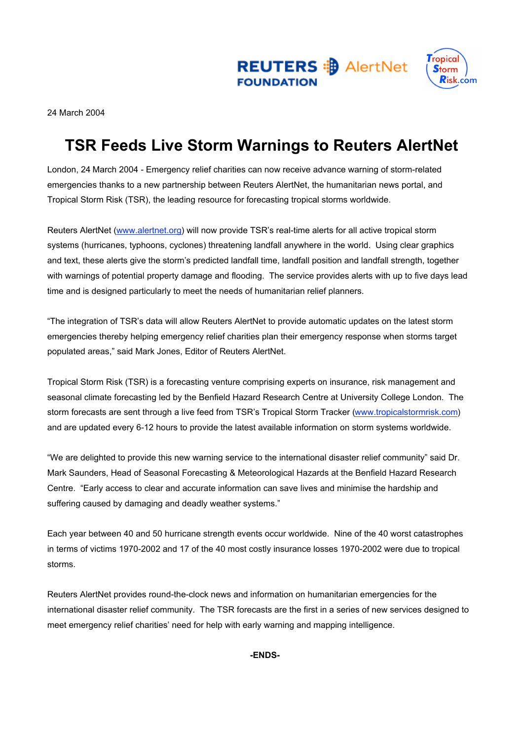

24 March 2004

# **TSR Feeds Live Storm Warnings to Reuters AlertNet**

**FOUNDATION** 

London, 24 March 2004 - Emergency relief charities can now receive advance warning of storm-related emergencies thanks to a new partnership between Reuters AlertNet, the humanitarian news portal, and Tropical Storm Risk (TSR), the leading resource for forecasting tropical storms worldwide.

Reuters AlertNet (www.alertnet.org) will now provide TSR's real-time alerts for all active tropical storm systems (hurricanes, typhoons, cyclones) threatening landfall anywhere in the world. Using clear graphics and text, these alerts give the storm's predicted landfall time, landfall position and landfall strength, together with warnings of potential property damage and flooding. The service provides alerts with up to five days lead time and is designed particularly to meet the needs of humanitarian relief planners.

"The integration of TSR's data will allow Reuters AlertNet to provide automatic updates on the latest storm emergencies thereby helping emergency relief charities plan their emergency response when storms target populated areas," said Mark Jones, Editor of Reuters AlertNet.

Tropical Storm Risk (TSR) is a forecasting venture comprising experts on insurance, risk management and seasonal climate forecasting led by the Benfield Hazard Research Centre at University College London. The storm forecasts are sent through a live feed from TSR's Tropical Storm Tracker (www.tropicalstormrisk.com) and are updated every 6-12 hours to provide the latest available information on storm systems worldwide.

"We are delighted to provide this new warning service to the international disaster relief community" said Dr. Mark Saunders, Head of Seasonal Forecasting & Meteorological Hazards at the Benfield Hazard Research Centre. "Early access to clear and accurate information can save lives and minimise the hardship and suffering caused by damaging and deadly weather systems."

Each year between 40 and 50 hurricane strength events occur worldwide. Nine of the 40 worst catastrophes in terms of victims 1970-2002 and 17 of the 40 most costly insurance losses 1970-2002 were due to tropical storms.

Reuters AlertNet provides round-the-clock news and information on humanitarian emergencies for the international disaster relief community. The TSR forecasts are the first in a series of new services designed to meet emergency relief charities' need for help with early warning and mapping intelligence.

**-ENDS-**